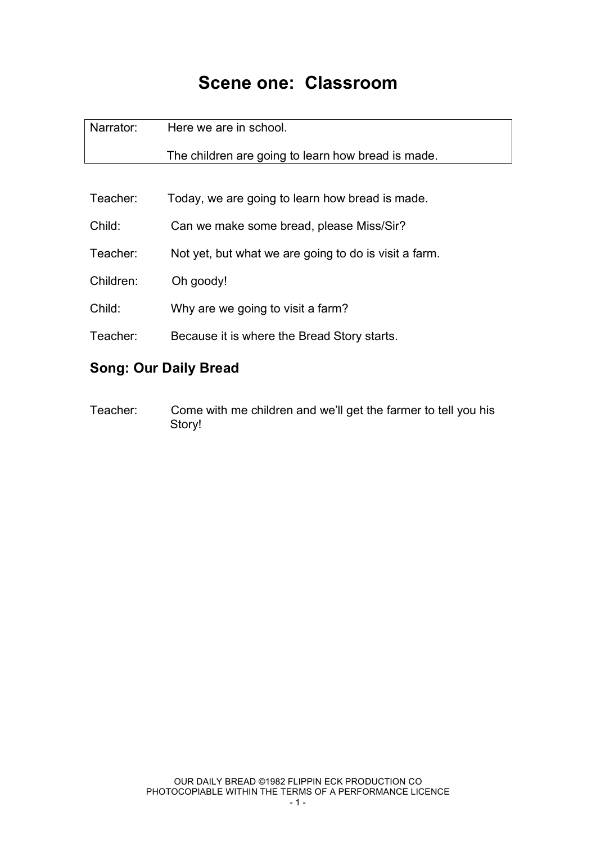## **Scene one: Classroom**

| Narrator: | Here we are in school.                                |
|-----------|-------------------------------------------------------|
|           | The children are going to learn how bread is made.    |
|           |                                                       |
| Teacher:  | Today, we are going to learn how bread is made.       |
| Child:    | Can we make some bread, please Miss/Sir?              |
| Teacher:  | Not yet, but what we are going to do is visit a farm. |
| Children: | Oh goody!                                             |
| Child:    | Why are we going to visit a farm?                     |
| Teacher:  | Because it is where the Bread Story starts.           |
|           |                                                       |

#### **Song: Our Daily Bread**

Teacher: Come with me children and we'll get the farmer to tell you his Story!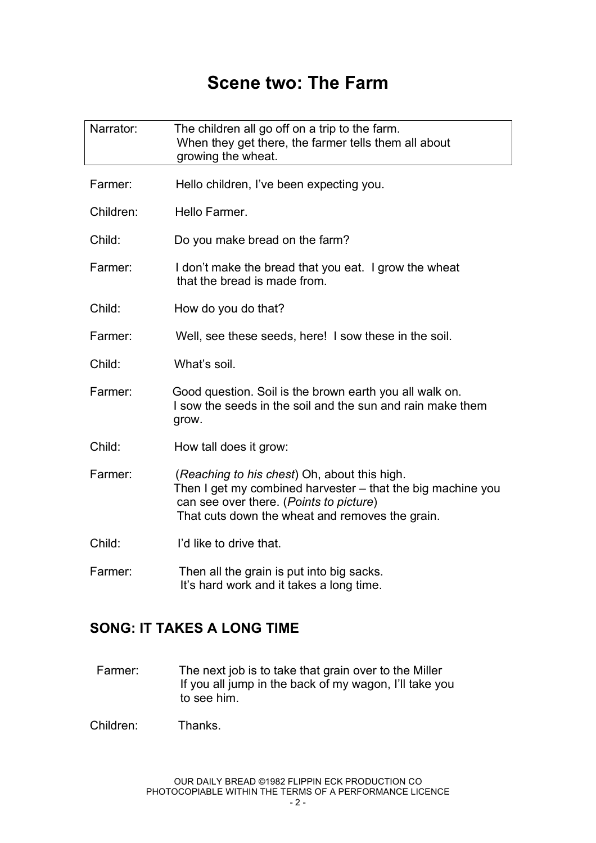### **Scene two: The Farm**

| Narrator: | The children all go off on a trip to the farm.<br>When they get there, the farmer tells them all about<br>growing the wheat.                                                                              |
|-----------|-----------------------------------------------------------------------------------------------------------------------------------------------------------------------------------------------------------|
| Farmer:   | Hello children, I've been expecting you.                                                                                                                                                                  |
| Children: | Hello Farmer.                                                                                                                                                                                             |
| Child:    | Do you make bread on the farm?                                                                                                                                                                            |
| Farmer:   | I don't make the bread that you eat. I grow the wheat<br>that the bread is made from.                                                                                                                     |
| Child:    | How do you do that?                                                                                                                                                                                       |
| Farmer:   | Well, see these seeds, here! I sow these in the soil.                                                                                                                                                     |
| Child:    | What's soil.                                                                                                                                                                                              |
| Farmer:   | Good question. Soil is the brown earth you all walk on.<br>I sow the seeds in the soil and the sun and rain make them<br>grow.                                                                            |
| Child:    | How tall does it grow:                                                                                                                                                                                    |
| Farmer:   | (Reaching to his chest) Oh, about this high.<br>Then I get my combined harvester - that the big machine you<br>can see over there. (Points to picture)<br>That cuts down the wheat and removes the grain. |
| Child:    | I'd like to drive that.                                                                                                                                                                                   |
| Farmer:   | Then all the grain is put into big sacks.<br>It's hard work and it takes a long time.                                                                                                                     |

#### **SONG: IT TAKES A LONG TIME**

- Farmer: The next job is to take that grain over to the Miller If you all jump in the back of my wagon, I'll take you to see him.
- Children: Thanks.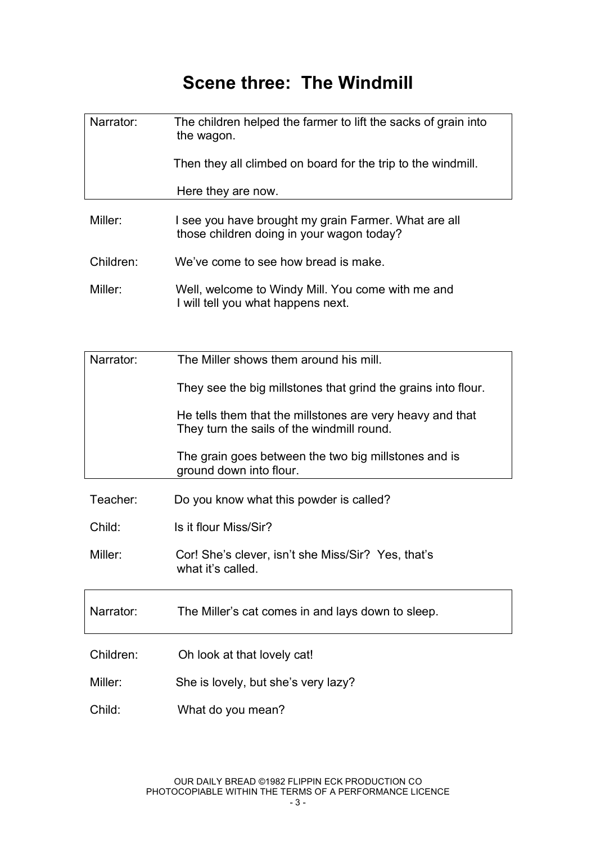# **Scene three: The Windmill**

| Narrator: | The children helped the farmer to lift the sacks of grain into<br>the wagon.                            |
|-----------|---------------------------------------------------------------------------------------------------------|
|           | Then they all climbed on board for the trip to the windmill.                                            |
|           | Here they are now.                                                                                      |
| Miller:   | I see you have brought my grain Farmer. What are all<br>those children doing in your wagon today?       |
| Children: | We've come to see how bread is make.                                                                    |
| Miller:   | Well, welcome to Windy Mill. You come with me and<br>I will tell you what happens next.                 |
|           |                                                                                                         |
| Narrator: | The Miller shows them around his mill.                                                                  |
|           | They see the big millstones that grind the grains into flour.                                           |
|           | He tells them that the millstones are very heavy and that<br>They turn the sails of the windmill round. |
|           | The grain goes between the two big millstones and is<br>ground down into flour.                         |
| Teacher:  | Do you know what this powder is called?                                                                 |
| Child:    | Is it flour Miss/Sir?                                                                                   |
| Miller:   | Cor! She's clever, isn't she Miss/Sir? Yes, that's<br>what it's called.                                 |
| Narrator: | The Miller's cat comes in and lays down to sleep.                                                       |
| Children: | Oh look at that lovely cat!                                                                             |
| Miller:   | She is lovely, but she's very lazy?                                                                     |
| Child:    | What do you mean?                                                                                       |